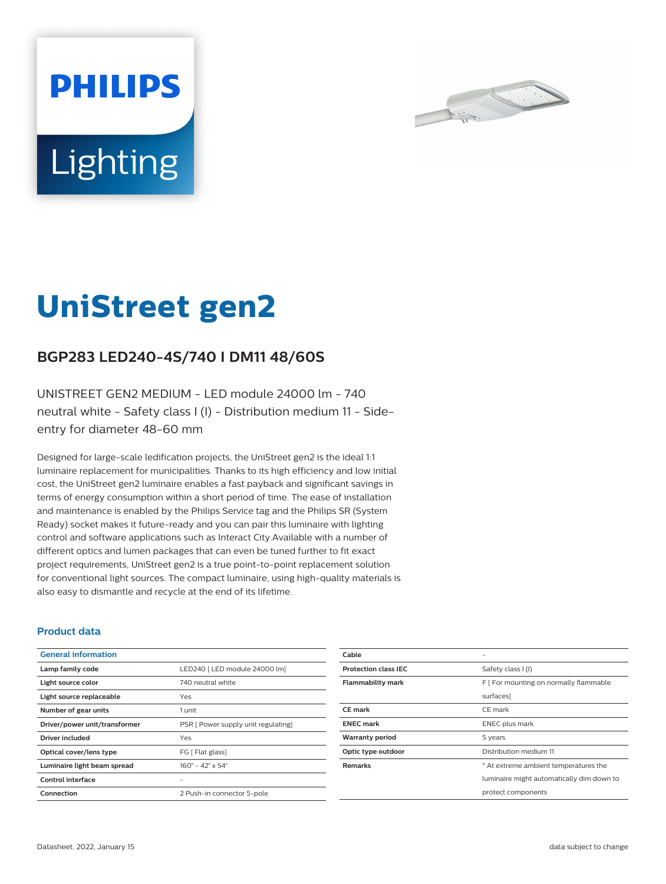



# **UniStreet gen2**

## **BGP283 LED240-4S/740 I DM11 48/60S**

UNISTREET GEN2 MEDIUM - LED module 24000 lm - 740 neutral white - Safety class I (I) - Distribution medium 11 - Sideentry for diameter 48-60 mm

Designed for large-scale ledification projects, the UniStreet gen2 is the ideal 1:1 luminaire replacement for municipalities. Thanks to its high efficiency and low initial cost, the UniStreet gen2 luminaire enables a fast payback and significant savings in terms of energy consumption within a short period of time. The ease of installation and maintenance is enabled by the Philips Service tag and the Philips SR (System Ready) socket makes it future-ready and you can pair this luminaire with lighting control and software applications such as Interact City.Available with a number of different optics and lumen packages that can even be tuned further to fit exact project requirements, UniStreet gen2 is a true point-to-point replacement solution for conventional light sources. The compact luminaire, using high-quality materials is also easy to dismantle and recycle at the end of its lifetime.

## **Product data**

| <b>General information</b>    |                                     |
|-------------------------------|-------------------------------------|
| Lamp family code              | LED240   LED module 24000 lm]       |
| Light source color            | 740 neutral white                   |
| Light source replaceable      | Yes                                 |
| Number of gear units          | 1 unit                              |
| Driver/power unit/transformer | PSR [ Power supply unit regulating] |
| Driver included               | Yes                                 |
| Optical cover/lens type       | FG [ Flat glass]                    |
| Luminaire light beam spread   | $160^{\circ}$ – 42° x 54°           |
| Control interface             |                                     |
| Connection                    | 2 Push-in connector 5-pole          |

| Cable                       |                                           |
|-----------------------------|-------------------------------------------|
| <b>Protection class IEC</b> | Safety class I (I)                        |
| <b>Flammability mark</b>    | F   For mounting on normally flammable    |
|                             | surfaces]                                 |
| <b>CE</b> mark              | CE mark                                   |
| <b>ENEC mark</b>            | ENEC plus mark                            |
| <b>Warranty period</b>      | 5 years                                   |
| Optic type outdoor          | Distribution medium 11                    |
| <b>Remarks</b>              | * At extreme ambient temperatures the     |
|                             | luminaire might automatically dim down to |
|                             | protect components                        |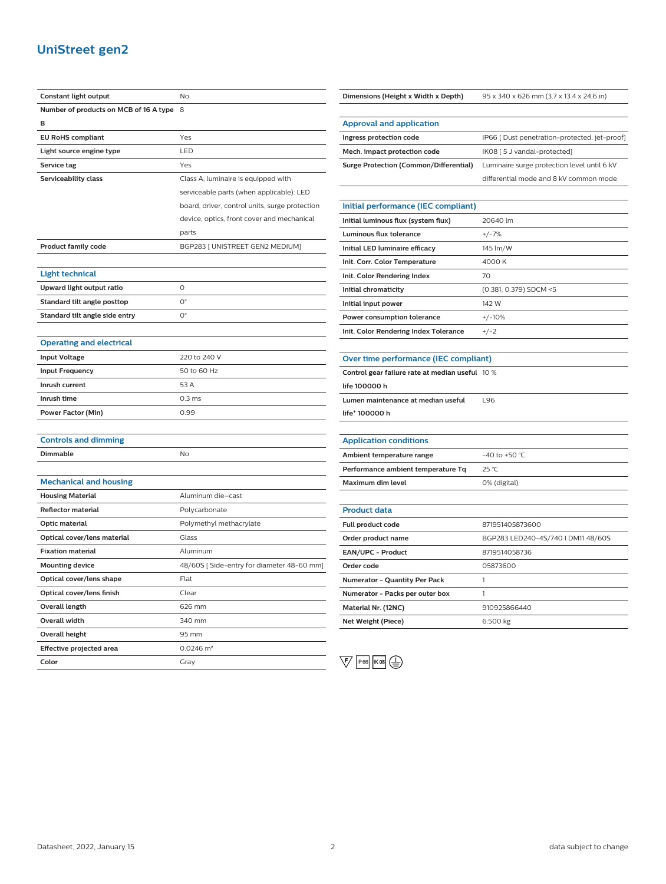## **UniStreet gen2**

| Constant light output                  | No                                             |
|----------------------------------------|------------------------------------------------|
| Number of products on MCB of 16 A type | 8                                              |
| в                                      |                                                |
| <b>EU RoHS compliant</b>               | Yes                                            |
| Light source engine type               | LED                                            |
| Service tag                            | Yes                                            |
| Serviceability class                   | Class A, luminaire is equipped with            |
|                                        | serviceable parts (when applicable): LED       |
|                                        | board, driver, control units, surge protection |
|                                        | device, optics, front cover and mechanical     |
|                                        | parts                                          |
| <b>Product family code</b>             | BGP283 [ UNISTREET GEN2 MEDIUM]                |
|                                        |                                                |
| Light technical                        |                                                |
| Upward light output ratio              | 0                                              |
| Standard tilt angle posttop            | 0°                                             |
| Standard tilt angle side entry         | 0°                                             |
|                                        |                                                |
| <b>Operating and electrical</b>        |                                                |
| <b>Input Voltage</b>                   | 220 to 240 V                                   |
| <b>Input Frequency</b>                 | 50 to 60 Hz                                    |
| Inrush current                         | 53 A                                           |
| Inrush time                            | 0.3 <sub>ms</sub>                              |
| <b>Power Factor (Min)</b>              | 0.99                                           |
|                                        |                                                |
| <b>Controls and dimming</b>            |                                                |
| Dimmable                               | No                                             |
|                                        |                                                |
| <b>Mechanical and housing</b>          |                                                |
| <b>Housing Material</b>                | Aluminum die-cast                              |
| <b>Reflector material</b>              | Polycarbonate                                  |
| Optic material                         | Polymethyl methacrylate                        |
| Optical cover/lens material            | Glass                                          |
| <b>Fixation material</b>               | Aluminum                                       |
| <b>Mounting device</b>                 | 48/60S [Side-entry for diameter 48-60 mm]      |
| Optical cover/lens shape               | Flat                                           |
| Optical cover/lens finish              | Clear                                          |
| Overall length                         | 626 mm                                         |
| Overall width                          | 340 mm                                         |
| Overall height                         | 95 mm                                          |
| Effective projected area               | $0.0246$ m <sup>2</sup>                        |
| Color                                  | Gray                                           |

**Approval and application Ingress protection code IP66** [ Dust penetration-protected, jet-proof] **Mech. impact protection code** IK08 [ 5 J vandal-protected] **Surge Protection (Common/Differential)** Luminaire surge protection level until 6 kV differential mode and 8 kV common mode **Initial performance (IEC compliant) Initial luminous flux (system flux)** 20640 lm **Luminous flux tolerance** +/-7% **Initial LED luminaire efficacy** 145 lm/W **Init. Corr. Color Temperature** 4000 K **Init. Color Rendering Index** 70 **Initial chromaticity** (0.381, 0.379) SDCM <5 **Initial input power** 142 W **Power consumption tolerance**  $+/-10\%$ **Init. Color Rendering Index Tolerance** +/-2 **Over time performance (IEC compliant) Control gear failure rate at median useful** 10 %

**Dimensions (Height x Width x Depth)** 95 x 340 x 626 mm (3.7 x 13.4 x 24.6 in)

## **life 100000 h**

**Lumen maintenance at median useful** L96

**life\* 100000 h**

| <b>Application conditions</b>      |                  |
|------------------------------------|------------------|
| Ambient temperature range          | $-40$ to +50 °C. |
| Performance ambient temperature Tq | $25^{\circ}$ C   |
| Maximum dim level                  | 0% (digital)     |

| <b>Product data</b>                  |                                    |
|--------------------------------------|------------------------------------|
| <b>Full product code</b>             | 871951405873600                    |
| Order product name                   | BGP283 LED240-4S/740 I DM11 48/60S |
| <b>EAN/UPC - Product</b>             | 8719514058736                      |
| Order code                           | 05873600                           |
| <b>Numerator - Quantity Per Pack</b> |                                    |
| Numerator - Packs per outer box      |                                    |
| Material Nr. (12NC)                  | 910925866440                       |
| Net Weight (Piece)                   | 6.500 kg                           |